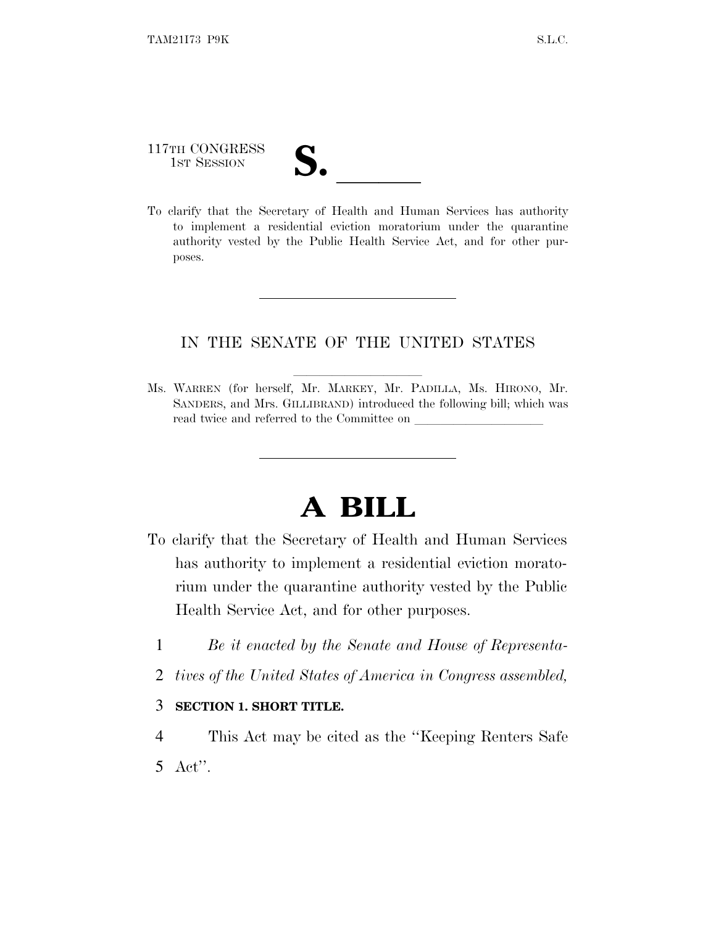# 117TH CONGRESS 117TH CONGRESS<br>
1ST SESSION<br>
To clarify that the Secretary of Health and Human Services has authority

to implement a residential eviction moratorium under the quarantine authority vested by the Public Health Service Act, and for other purposes.

#### IN THE SENATE OF THE UNITED STATES

Ms. WARREN (for herself, Mr. MARKEY, Mr. PADILLA, Ms. HIRONO, Mr. SANDERS, and Mrs. GILLIBRAND) introduced the following bill; which was read twice and referred to the Committee on

### **A BILL**

- To clarify that the Secretary of Health and Human Services has authority to implement a residential eviction moratorium under the quarantine authority vested by the Public Health Service Act, and for other purposes.
	- 1 *Be it enacted by the Senate and House of Representa-*
	- 2 *tives of the United States of America in Congress assembled,*

#### 3 **SECTION 1. SHORT TITLE.**

4 This Act may be cited as the ''Keeping Renters Safe 5 Act''.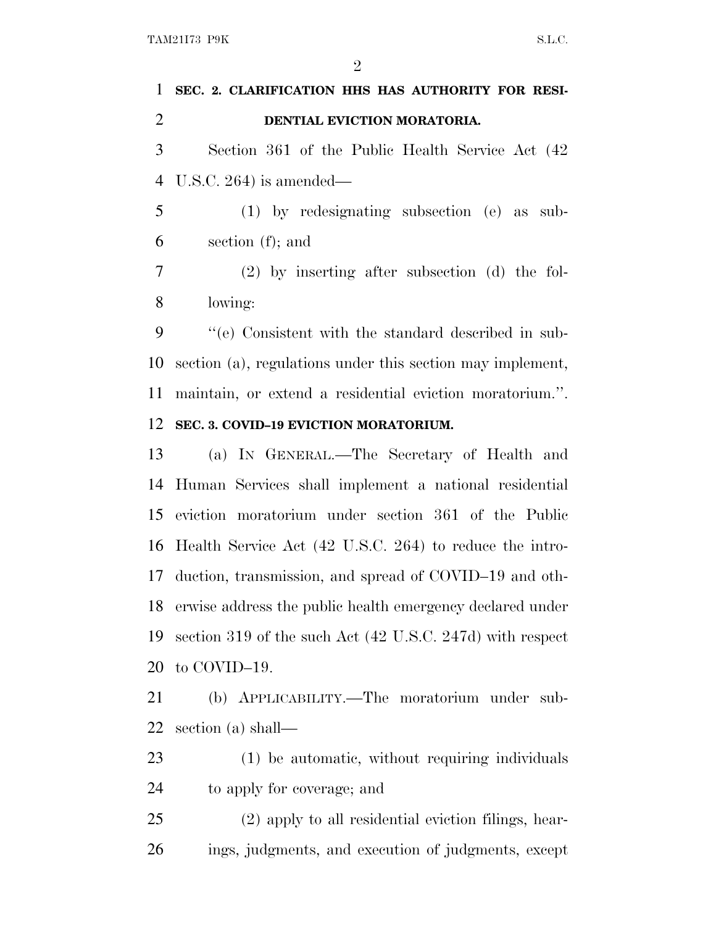$\mathfrak{D}$ 

## **SEC. 2. CLARIFICATION HHS HAS AUTHORITY FOR RESI- DENTIAL EVICTION MORATORIA.** Section 361 of the Public Health Service Act (42 U.S.C. 264) is amended— (1) by redesignating subsection (e) as sub- section (f); and (2) by inserting after subsection (d) the fol- lowing: ''(e) Consistent with the standard described in sub-section (a), regulations under this section may implement,

 maintain, or extend a residential eviction moratorium.''. **SEC. 3. COVID–19 EVICTION MORATORIUM.**

 (a) I<sup>N</sup> GENERAL.—The Secretary of Health and Human Services shall implement a national residential eviction moratorium under section 361 of the Public Health Service Act (42 U.S.C. 264) to reduce the intro- duction, transmission, and spread of COVID–19 and oth- erwise address the public health emergency declared under section 319 of the such Act (42 U.S.C. 247d) with respect to COVID–19.

 (b) APPLICABILITY.—The moratorium under sub-section (a) shall—

 (1) be automatic, without requiring individuals to apply for coverage; and

 (2) apply to all residential eviction filings, hear-ings, judgments, and execution of judgments, except